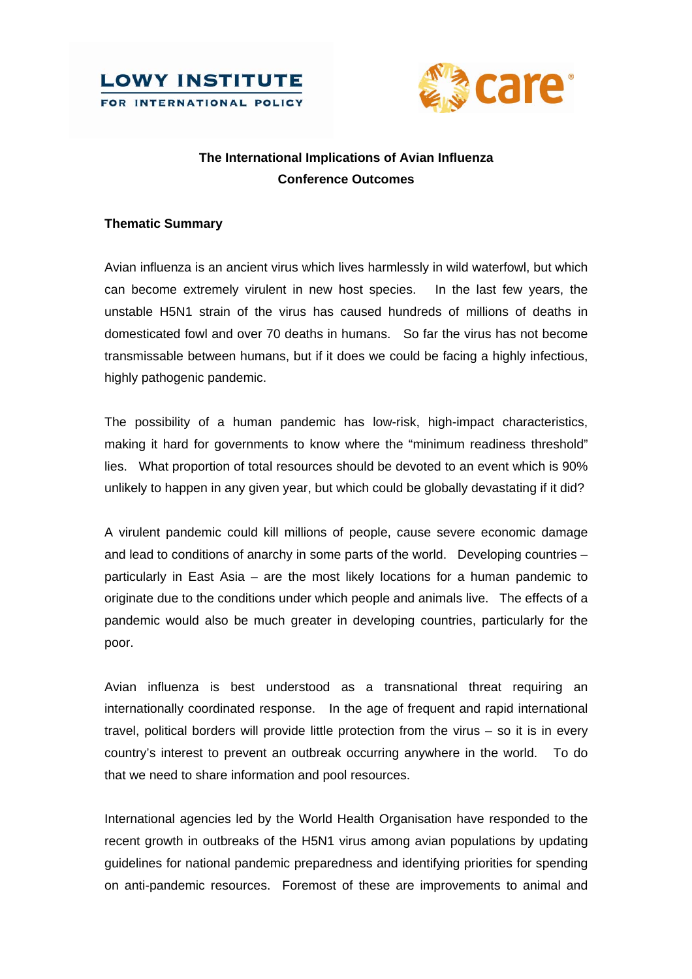



# **The International Implications of Avian Influenza Conference Outcomes**

## **Thematic Summary**

Avian influenza is an ancient virus which lives harmlessly in wild waterfowl, but which can become extremely virulent in new host species. In the last few years, the unstable H5N1 strain of the virus has caused hundreds of millions of deaths in domesticated fowl and over 70 deaths in humans. So far the virus has not become transmissable between humans, but if it does we could be facing a highly infectious, highly pathogenic pandemic.

The possibility of a human pandemic has low-risk, high-impact characteristics, making it hard for governments to know where the "minimum readiness threshold" lies. What proportion of total resources should be devoted to an event which is 90% unlikely to happen in any given year, but which could be globally devastating if it did?

A virulent pandemic could kill millions of people, cause severe economic damage and lead to conditions of anarchy in some parts of the world. Developing countries – particularly in East Asia – are the most likely locations for a human pandemic to originate due to the conditions under which people and animals live. The effects of a pandemic would also be much greater in developing countries, particularly for the poor.

Avian influenza is best understood as a transnational threat requiring an internationally coordinated response. In the age of frequent and rapid international travel, political borders will provide little protection from the virus – so it is in every country's interest to prevent an outbreak occurring anywhere in the world. To do that we need to share information and pool resources.

International agencies led by the World Health Organisation have responded to the recent growth in outbreaks of the H5N1 virus among avian populations by updating guidelines for national pandemic preparedness and identifying priorities for spending on anti-pandemic resources. Foremost of these are improvements to animal and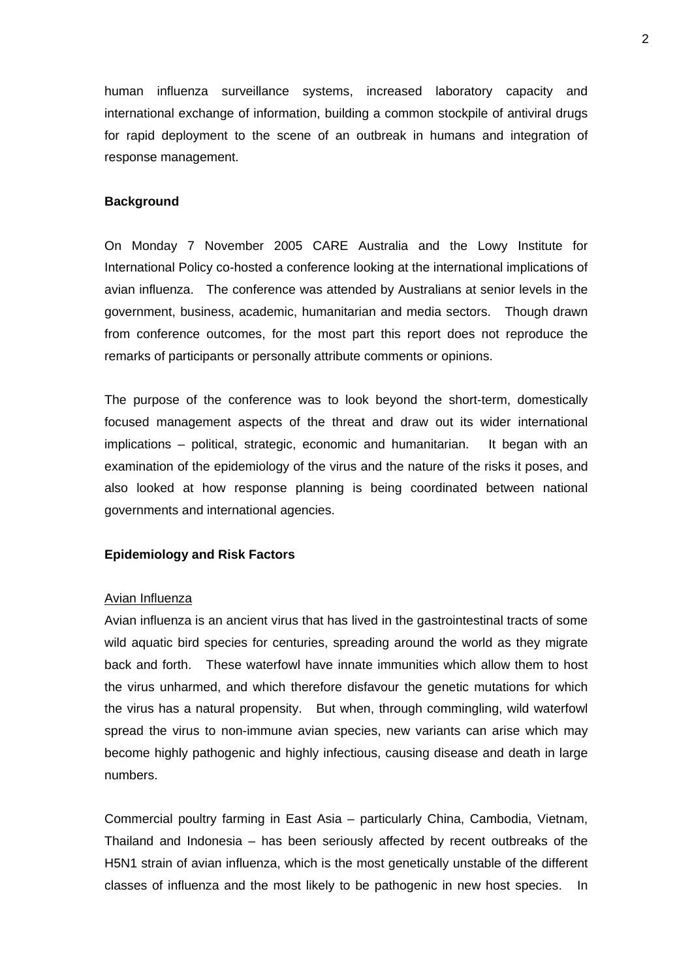human influenza surveillance systems, increased laboratory capacity and international exchange of information, building a common stockpile of antiviral drugs for rapid deployment to the scene of an outbreak in humans and integration of response management.

## **Background**

On Monday 7 November 2005 CARE Australia and the Lowy Institute for International Policy co-hosted a conference looking at the international implications of avian influenza. The conference was attended by Australians at senior levels in the government, business, academic, humanitarian and media sectors. Though drawn from conference outcomes, for the most part this report does not reproduce the remarks of participants or personally attribute comments or opinions.

The purpose of the conference was to look beyond the short-term, domestically focused management aspects of the threat and draw out its wider international implications – political, strategic, economic and humanitarian. It began with an examination of the epidemiology of the virus and the nature of the risks it poses, and also looked at how response planning is being coordinated between national governments and international agencies.

## **Epidemiology and Risk Factors**

#### Avian Influenza

Avian influenza is an ancient virus that has lived in the gastrointestinal tracts of some wild aquatic bird species for centuries, spreading around the world as they migrate back and forth. These waterfowl have innate immunities which allow them to host the virus unharmed, and which therefore disfavour the genetic mutations for which the virus has a natural propensity. But when, through commingling, wild waterfowl spread the virus to non-immune avian species, new variants can arise which may become highly pathogenic and highly infectious, causing disease and death in large numbers.

Commercial poultry farming in East Asia – particularly China, Cambodia, Vietnam, Thailand and Indonesia – has been seriously affected by recent outbreaks of the H5N1 strain of avian influenza, which is the most genetically unstable of the different classes of influenza and the most likely to be pathogenic in new host species. In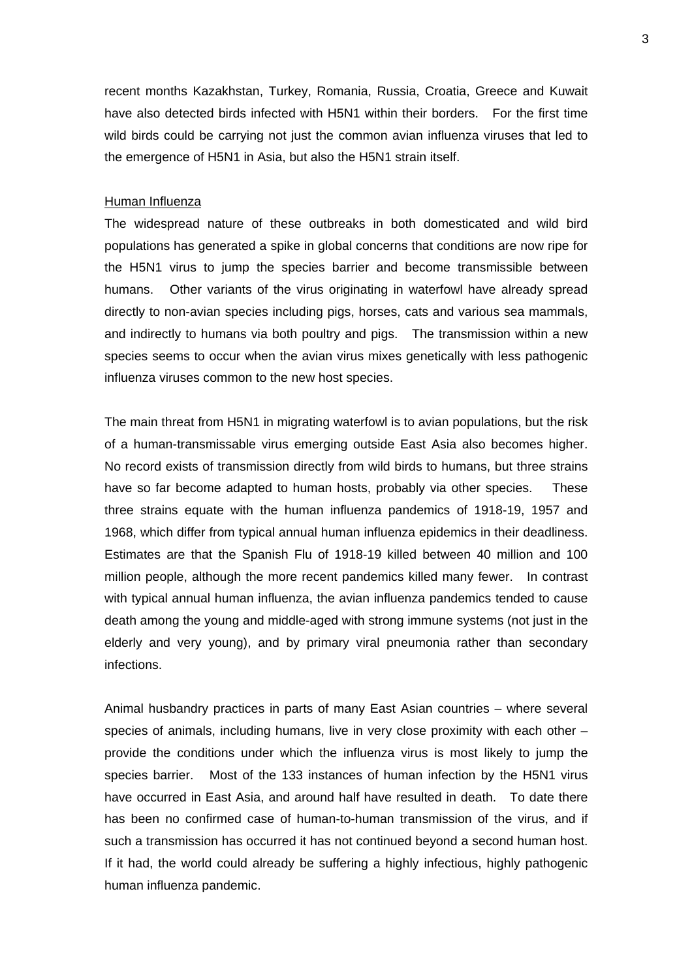recent months Kazakhstan, Turkey, Romania, Russia, Croatia, Greece and Kuwait have also detected birds infected with H5N1 within their borders. For the first time wild birds could be carrying not just the common avian influenza viruses that led to the emergence of H5N1 in Asia, but also the H5N1 strain itself.

#### Human Influenza

The widespread nature of these outbreaks in both domesticated and wild bird populations has generated a spike in global concerns that conditions are now ripe for the H5N1 virus to jump the species barrier and become transmissible between humans. Other variants of the virus originating in waterfowl have already spread directly to non-avian species including pigs, horses, cats and various sea mammals, and indirectly to humans via both poultry and pigs. The transmission within a new species seems to occur when the avian virus mixes genetically with less pathogenic influenza viruses common to the new host species.

The main threat from H5N1 in migrating waterfowl is to avian populations, but the risk of a human-transmissable virus emerging outside East Asia also becomes higher. No record exists of transmission directly from wild birds to humans, but three strains have so far become adapted to human hosts, probably via other species. These three strains equate with the human influenza pandemics of 1918-19, 1957 and 1968, which differ from typical annual human influenza epidemics in their deadliness. Estimates are that the Spanish Flu of 1918-19 killed between 40 million and 100 million people, although the more recent pandemics killed many fewer. In contrast with typical annual human influenza, the avian influenza pandemics tended to cause death among the young and middle-aged with strong immune systems (not just in the elderly and very young), and by primary viral pneumonia rather than secondary infections.

Animal husbandry practices in parts of many East Asian countries – where several species of animals, including humans, live in very close proximity with each other – provide the conditions under which the influenza virus is most likely to jump the species barrier. Most of the 133 instances of human infection by the H5N1 virus have occurred in East Asia, and around half have resulted in death. To date there has been no confirmed case of human-to-human transmission of the virus, and if such a transmission has occurred it has not continued beyond a second human host. If it had, the world could already be suffering a highly infectious, highly pathogenic human influenza pandemic.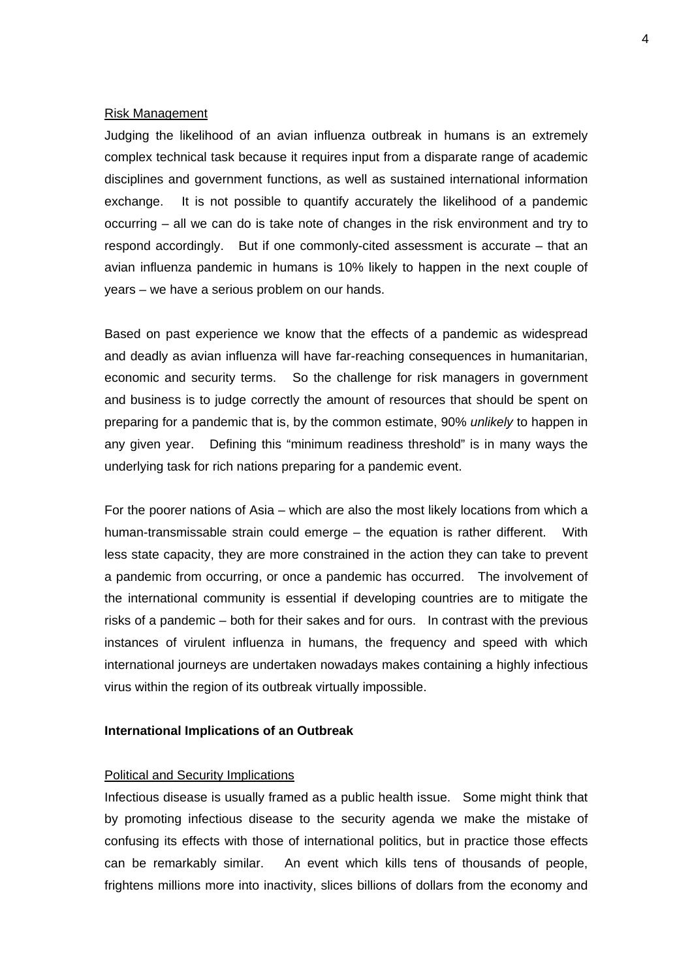#### Risk Management

Judging the likelihood of an avian influenza outbreak in humans is an extremely complex technical task because it requires input from a disparate range of academic disciplines and government functions, as well as sustained international information exchange. It is not possible to quantify accurately the likelihood of a pandemic occurring – all we can do is take note of changes in the risk environment and try to respond accordingly. But if one commonly-cited assessment is accurate – that an avian influenza pandemic in humans is 10% likely to happen in the next couple of years – we have a serious problem on our hands.

Based on past experience we know that the effects of a pandemic as widespread and deadly as avian influenza will have far-reaching consequences in humanitarian, economic and security terms. So the challenge for risk managers in government and business is to judge correctly the amount of resources that should be spent on preparing for a pandemic that is, by the common estimate, 90% *unlikely* to happen in any given year. Defining this "minimum readiness threshold" is in many ways the underlying task for rich nations preparing for a pandemic event.

For the poorer nations of Asia – which are also the most likely locations from which a human-transmissable strain could emerge – the equation is rather different. With less state capacity, they are more constrained in the action they can take to prevent a pandemic from occurring, or once a pandemic has occurred. The involvement of the international community is essential if developing countries are to mitigate the risks of a pandemic – both for their sakes and for ours. In contrast with the previous instances of virulent influenza in humans, the frequency and speed with which international journeys are undertaken nowadays makes containing a highly infectious virus within the region of its outbreak virtually impossible.

#### **International Implications of an Outbreak**

## Political and Security Implications

Infectious disease is usually framed as a public health issue. Some might think that by promoting infectious disease to the security agenda we make the mistake of confusing its effects with those of international politics, but in practice those effects can be remarkably similar. An event which kills tens of thousands of people, frightens millions more into inactivity, slices billions of dollars from the economy and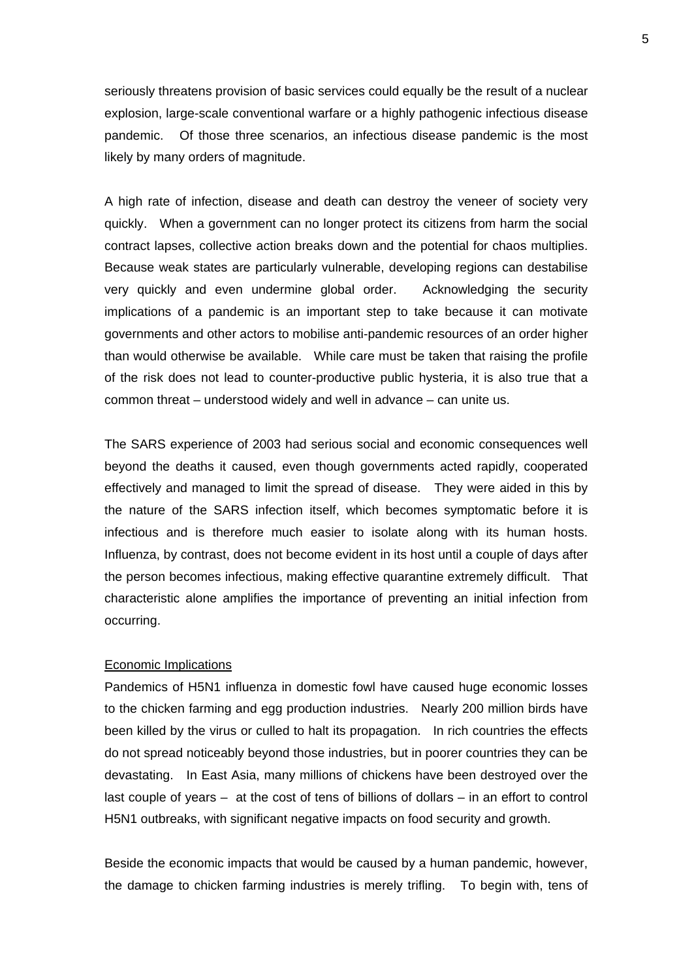seriously threatens provision of basic services could equally be the result of a nuclear explosion, large-scale conventional warfare or a highly pathogenic infectious disease pandemic. Of those three scenarios, an infectious disease pandemic is the most likely by many orders of magnitude.

A high rate of infection, disease and death can destroy the veneer of society very quickly. When a government can no longer protect its citizens from harm the social contract lapses, collective action breaks down and the potential for chaos multiplies. Because weak states are particularly vulnerable, developing regions can destabilise very quickly and even undermine global order. Acknowledging the security implications of a pandemic is an important step to take because it can motivate governments and other actors to mobilise anti-pandemic resources of an order higher than would otherwise be available. While care must be taken that raising the profile of the risk does not lead to counter-productive public hysteria, it is also true that a common threat – understood widely and well in advance – can unite us.

The SARS experience of 2003 had serious social and economic consequences well beyond the deaths it caused, even though governments acted rapidly, cooperated effectively and managed to limit the spread of disease. They were aided in this by the nature of the SARS infection itself, which becomes symptomatic before it is infectious and is therefore much easier to isolate along with its human hosts. Influenza, by contrast, does not become evident in its host until a couple of days after the person becomes infectious, making effective quarantine extremely difficult. That characteristic alone amplifies the importance of preventing an initial infection from occurring.

## Economic Implications

Pandemics of H5N1 influenza in domestic fowl have caused huge economic losses to the chicken farming and egg production industries. Nearly 200 million birds have been killed by the virus or culled to halt its propagation. In rich countries the effects do not spread noticeably beyond those industries, but in poorer countries they can be devastating. In East Asia, many millions of chickens have been destroyed over the last couple of years – at the cost of tens of billions of dollars – in an effort to control H5N1 outbreaks, with significant negative impacts on food security and growth.

Beside the economic impacts that would be caused by a human pandemic, however, the damage to chicken farming industries is merely trifling. To begin with, tens of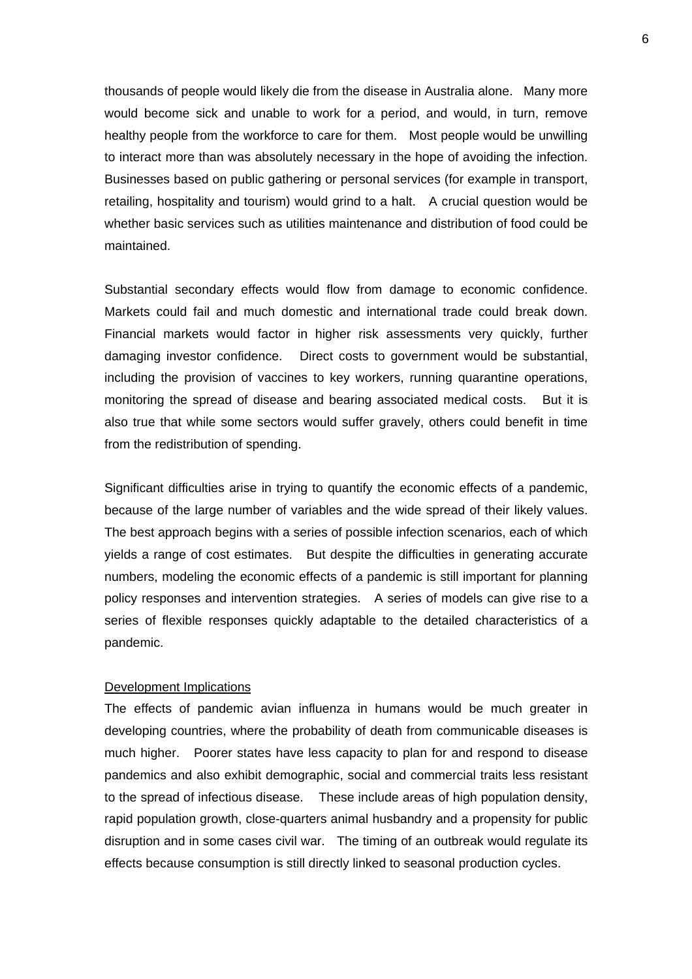thousands of people would likely die from the disease in Australia alone. Many more would become sick and unable to work for a period, and would, in turn, remove healthy people from the workforce to care for them. Most people would be unwilling to interact more than was absolutely necessary in the hope of avoiding the infection. Businesses based on public gathering or personal services (for example in transport, retailing, hospitality and tourism) would grind to a halt. A crucial question would be whether basic services such as utilities maintenance and distribution of food could be maintained.

Substantial secondary effects would flow from damage to economic confidence. Markets could fail and much domestic and international trade could break down. Financial markets would factor in higher risk assessments very quickly, further damaging investor confidence. Direct costs to government would be substantial, including the provision of vaccines to key workers, running quarantine operations, monitoring the spread of disease and bearing associated medical costs. But it is also true that while some sectors would suffer gravely, others could benefit in time from the redistribution of spending.

Significant difficulties arise in trying to quantify the economic effects of a pandemic, because of the large number of variables and the wide spread of their likely values. The best approach begins with a series of possible infection scenarios, each of which yields a range of cost estimates. But despite the difficulties in generating accurate numbers, modeling the economic effects of a pandemic is still important for planning policy responses and intervention strategies. A series of models can give rise to a series of flexible responses quickly adaptable to the detailed characteristics of a pandemic.

#### Development Implications

The effects of pandemic avian influenza in humans would be much greater in developing countries, where the probability of death from communicable diseases is much higher. Poorer states have less capacity to plan for and respond to disease pandemics and also exhibit demographic, social and commercial traits less resistant to the spread of infectious disease. These include areas of high population density, rapid population growth, close-quarters animal husbandry and a propensity for public disruption and in some cases civil war. The timing of an outbreak would regulate its effects because consumption is still directly linked to seasonal production cycles.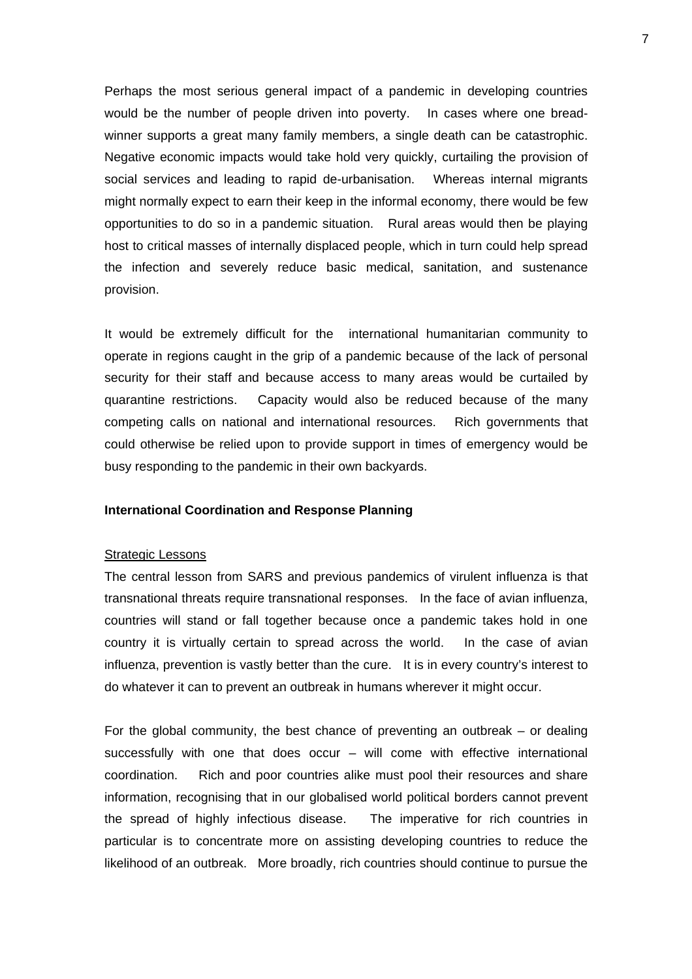Perhaps the most serious general impact of a pandemic in developing countries would be the number of people driven into poverty. In cases where one breadwinner supports a great many family members, a single death can be catastrophic. Negative economic impacts would take hold very quickly, curtailing the provision of social services and leading to rapid de-urbanisation. Whereas internal migrants might normally expect to earn their keep in the informal economy, there would be few opportunities to do so in a pandemic situation. Rural areas would then be playing host to critical masses of internally displaced people, which in turn could help spread the infection and severely reduce basic medical, sanitation, and sustenance provision.

It would be extremely difficult for the international humanitarian community to operate in regions caught in the grip of a pandemic because of the lack of personal security for their staff and because access to many areas would be curtailed by quarantine restrictions. Capacity would also be reduced because of the many competing calls on national and international resources. Rich governments that could otherwise be relied upon to provide support in times of emergency would be busy responding to the pandemic in their own backyards.

## **International Coordination and Response Planning**

#### Strategic Lessons

The central lesson from SARS and previous pandemics of virulent influenza is that transnational threats require transnational responses. In the face of avian influenza, countries will stand or fall together because once a pandemic takes hold in one country it is virtually certain to spread across the world. In the case of avian influenza, prevention is vastly better than the cure. It is in every country's interest to do whatever it can to prevent an outbreak in humans wherever it might occur.

For the global community, the best chance of preventing an outbreak – or dealing successfully with one that does occur – will come with effective international coordination. Rich and poor countries alike must pool their resources and share information, recognising that in our globalised world political borders cannot prevent the spread of highly infectious disease. The imperative for rich countries in particular is to concentrate more on assisting developing countries to reduce the likelihood of an outbreak. More broadly, rich countries should continue to pursue the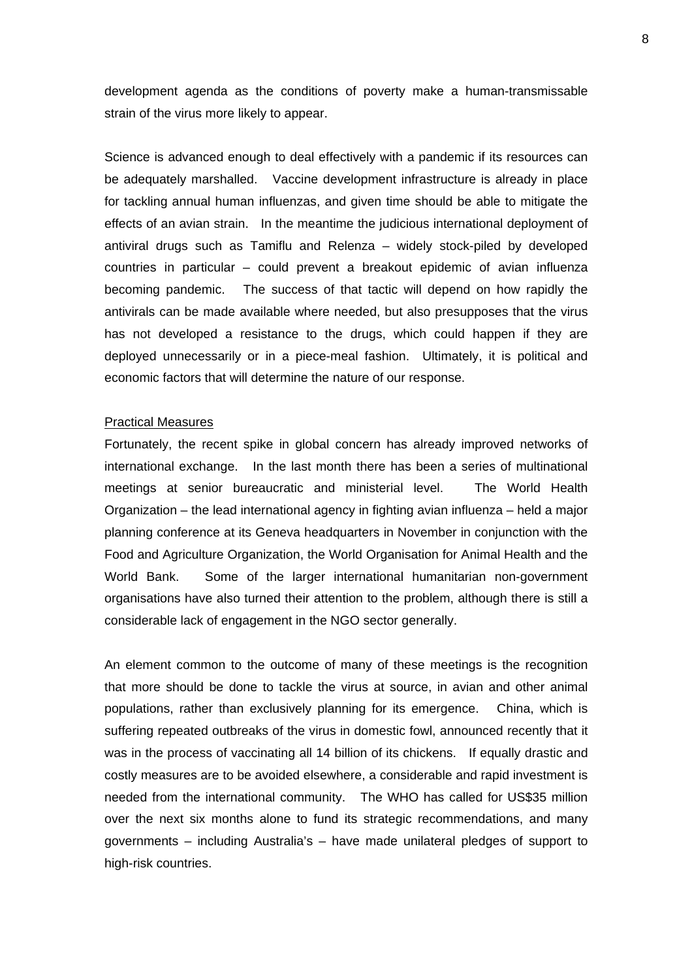development agenda as the conditions of poverty make a human-transmissable strain of the virus more likely to appear.

Science is advanced enough to deal effectively with a pandemic if its resources can be adequately marshalled. Vaccine development infrastructure is already in place for tackling annual human influenzas, and given time should be able to mitigate the effects of an avian strain. In the meantime the judicious international deployment of antiviral drugs such as Tamiflu and Relenza – widely stock-piled by developed countries in particular – could prevent a breakout epidemic of avian influenza becoming pandemic. The success of that tactic will depend on how rapidly the antivirals can be made available where needed, but also presupposes that the virus has not developed a resistance to the drugs, which could happen if they are deployed unnecessarily or in a piece-meal fashion. Ultimately, it is political and economic factors that will determine the nature of our response.

#### Practical Measures

Fortunately, the recent spike in global concern has already improved networks of international exchange. In the last month there has been a series of multinational meetings at senior bureaucratic and ministerial level. The World Health Organization – the lead international agency in fighting avian influenza – held a major planning conference at its Geneva headquarters in November in conjunction with the Food and Agriculture Organization, the World Organisation for Animal Health and the World Bank. Some of the larger international humanitarian non-government organisations have also turned their attention to the problem, although there is still a considerable lack of engagement in the NGO sector generally.

An element common to the outcome of many of these meetings is the recognition that more should be done to tackle the virus at source, in avian and other animal populations, rather than exclusively planning for its emergence. China, which is suffering repeated outbreaks of the virus in domestic fowl, announced recently that it was in the process of vaccinating all 14 billion of its chickens. If equally drastic and costly measures are to be avoided elsewhere, a considerable and rapid investment is needed from the international community. The WHO has called for US\$35 million over the next six months alone to fund its strategic recommendations, and many governments – including Australia's – have made unilateral pledges of support to high-risk countries.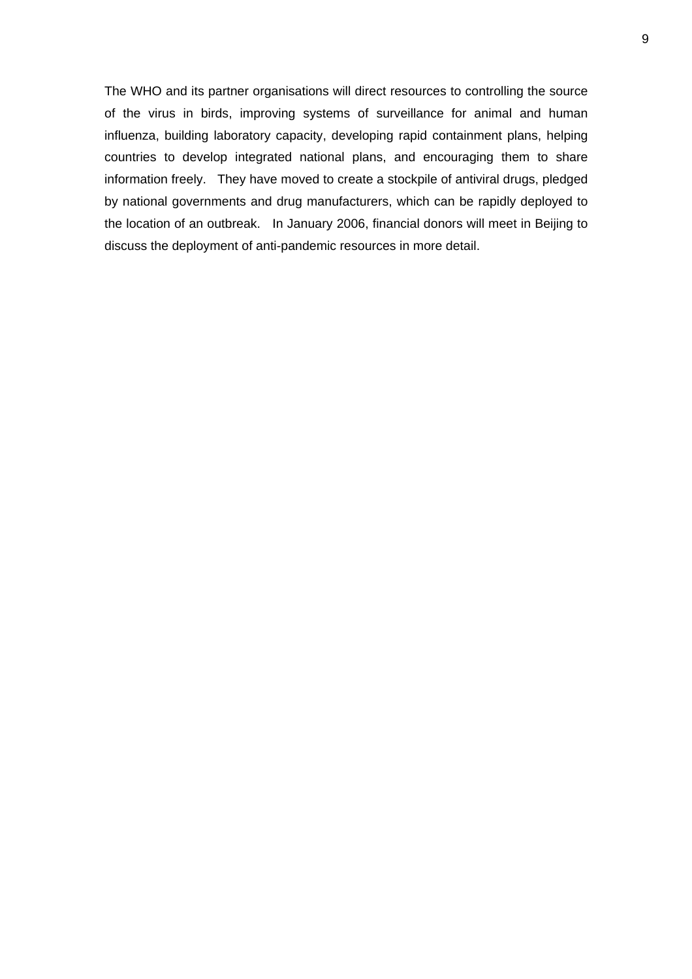The WHO and its partner organisations will direct resources to controlling the source of the virus in birds, improving systems of surveillance for animal and human influenza, building laboratory capacity, developing rapid containment plans, helping countries to develop integrated national plans, and encouraging them to share information freely. They have moved to create a stockpile of antiviral drugs, pledged by national governments and drug manufacturers, which can be rapidly deployed to the location of an outbreak. In January 2006, financial donors will meet in Beijing to discuss the deployment of anti-pandemic resources in more detail.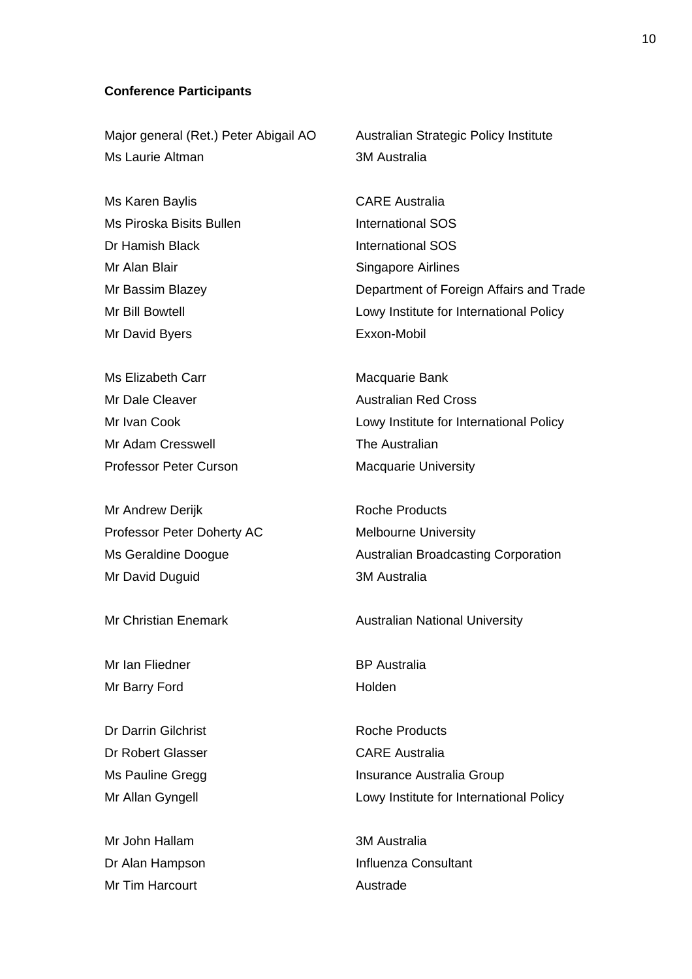#### **Conference Participants**

Major general (Ret.) Peter Abigail AO Australian Strategic Policy Institute Ms Laurie Altman 3M Australia

Ms Karen Baylis **CARE** Australia Ms Piroska Bisits Bullen International SOS Dr Hamish Black **International SOS** Mr Alan Blair Singapore Airlines Mr David Byers **Exxon-Mobil** 

Ms Elizabeth Carr **Macquarie Bank** Mr Dale Cleaver **Australian Red Cross** Mr Adam Cresswell **The Australian** Professor Peter Curson Macquarie University

Mr Andrew Derijk **Roche Products** Professor Peter Doherty AC Melbourne University Mr David Duguid **3M** Australia

Mr Ian Fliedner **BP** Australia Mr Barry Ford Holden

Dr Darrin Gilchrist **Roche Products** Roche Products Dr Robert Glasser CARE Australia

Mr John Hallam 3M Australia Mr Tim Harcourt **Austrade** 

Mr Bassim Blazey Department of Foreign Affairs and Trade Mr Bill Bowtell **Lowy Institute for International Policy** 

Mr Ivan Cook **Lowy Institute for International Policy** 

Ms Geraldine Doogue **Australian Broadcasting Corporation** 

Mr Christian Enemark **Australian National University** 

Ms Pauline Gregg **Insurance Australia Group** Mr Allan Gyngell **Lowy Institute for International Policy** 

Dr Alan Hampson **Influenza Consultant**